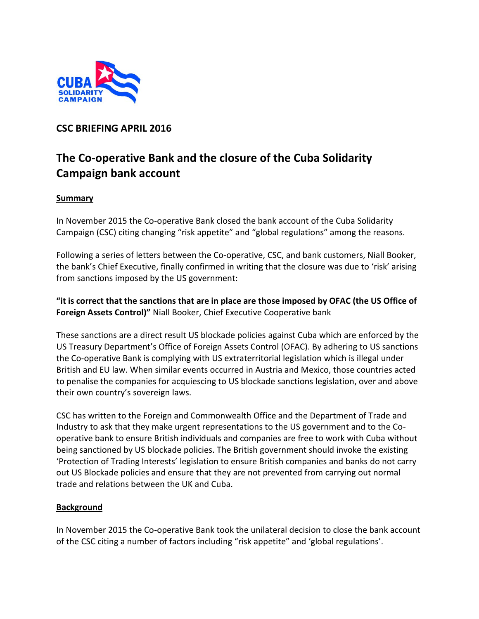

# **CSC BRIEFING APRIL 2016**

# **The Co-operative Bank and the closure of the Cuba Solidarity Campaign bank account**

### **Summary**

In November 2015 the Co-operative Bank closed the bank account of the Cuba Solidarity Campaign (CSC) citing changing "risk appetite" and "global regulations" among the reasons.

Following a series of letters between the Co-operative, CSC, and bank customers, Niall Booker, the bank's Chief Executive, finally confirmed in writing that the closure was due to 'risk' arising from sanctions imposed by the US government:

**"it is correct that the sanctions that are in place are those imposed by OFAC (the US Office of Foreign Assets Control)"** Niall Booker, Chief Executive Cooperative bank

These sanctions are a direct result US blockade policies against Cuba which are enforced by the US Treasury Department's Office of Foreign Assets Control (OFAC). By adhering to US sanctions the Co-operative Bank is complying with US extraterritorial legislation which is illegal under British and EU law. When similar events occurred in Austria and Mexico, those countries acted to penalise the companies for acquiescing to US blockade sanctions legislation, over and above their own country's sovereign laws.

CSC has written to the Foreign and Commonwealth Office and the Department of Trade and Industry to ask that they make urgent representations to the US government and to the Cooperative bank to ensure British individuals and companies are free to work with Cuba without being sanctioned by US blockade policies. The British government should invoke the existing 'Protection of Trading Interests' legislation to ensure British companies and banks do not carry out US Blockade policies and ensure that they are not prevented from carrying out normal trade and relations between the UK and Cuba.

#### **Background**

In November 2015 the Co-operative Bank took the unilateral decision to close the bank account of the CSC citing a number of factors including "risk appetite" and 'global regulations'.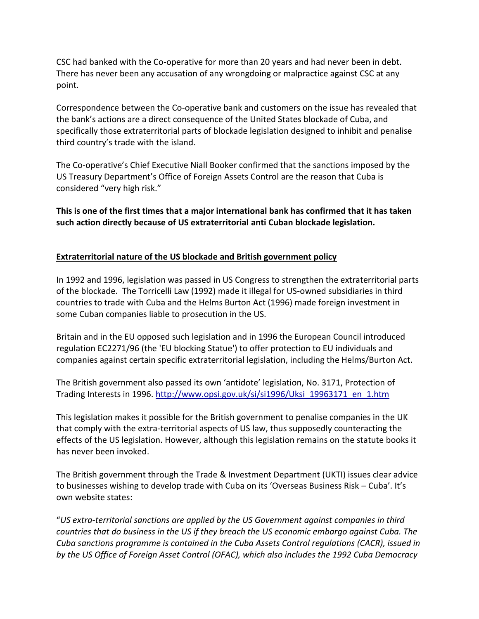CSC had banked with the Co-operative for more than 20 years and had never been in debt. There has never been any accusation of any wrongdoing or malpractice against CSC at any point.

Correspondence between the Co-operative bank and customers on the issue has revealed that the bank's actions are a direct consequence of the United States blockade of Cuba, and specifically those extraterritorial parts of blockade legislation designed to inhibit and penalise third country's trade with the island.

The Co-operative's Chief Executive Niall Booker confirmed that the sanctions imposed by the US Treasury Department's Office of Foreign Assets Control are the reason that Cuba is considered "very high risk."

**This is one of the first times that a major international bank has confirmed that it has taken such action directly because of US extraterritorial anti Cuban blockade legislation.**

## **Extraterritorial nature of the US blockade and British government policy**

In 1992 and 1996, legislation was passed in US Congress to strengthen the extraterritorial parts of the blockade. The Torricelli Law (1992) made it illegal for US-owned subsidiaries in third countries to trade with Cuba and the Helms Burton Act (1996) made foreign investment in some Cuban companies liable to prosecution in the US.

Britain and in the EU opposed such legislation and in 1996 the European Council introduced regulation EC2271/96 (the 'EU blocking Statue') to offer protection to EU individuals and companies against certain specific extraterritorial legislation, including the Helms/Burton Act.

The British government also passed its own 'antidote' legislation, No. 3171, Protection of Trading Interests in 1996. [http://www.opsi.gov.uk/si/si1996/Uksi\\_19963171\\_en\\_1.htm](http://www.opsi.gov.uk/si/si1996/Uksi_19963171_en_1.htm)

This legislation makes it possible for the British government to penalise companies in the UK that comply with the extra-territorial aspects of US law, thus supposedly counteracting the effects of the US legislation. However, although this legislation remains on the statute books it has never been invoked.

The British government through the Trade & Investment Department (UKTI) issues clear advice to businesses wishing to develop trade with Cuba on its 'Overseas Business Risk – Cuba'. It's own website states:

"*US extra-territorial sanctions are applied by the US Government against companies in third countries that do business in the US if they breach the US economic embargo against Cuba. The Cuba sanctions programme is contained in the Cuba Assets Control regulations (CACR), issued in by the US Office of Foreign Asset Control (OFAC), which also includes the 1992 Cuba Democracy*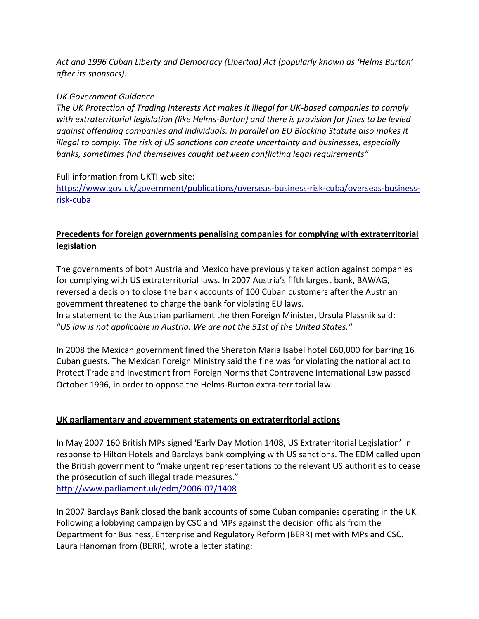*Act and 1996 Cuban Liberty and Democracy (Libertad) Act (popularly known as 'Helms Burton' after its sponsors).*

## *UK Government Guidance*

*The UK Protection of Trading Interests Act makes it illegal for UK-based companies to comply with extraterritorial legislation (like Helms-Burton) and there is provision for fines to be levied against offending companies and individuals. In parallel an EU Blocking Statute also makes it illegal to comply. The risk of US sanctions can create uncertainty and businesses, especially banks, sometimes find themselves caught between conflicting legal requirements"*

## Full information from UKTI web site:

[https://www.gov.uk/government/publications/overseas-business-risk-cuba/overseas-business](https://www.gov.uk/government/publications/overseas-business-risk-cuba/overseas-business-risk-cuba)[risk-cuba](https://www.gov.uk/government/publications/overseas-business-risk-cuba/overseas-business-risk-cuba)

# **Precedents for foreign governments penalising companies for complying with extraterritorial legislation**

The governments of both Austria and Mexico have previously taken action against companies for complying with US extraterritorial laws. In 2007 Austria's fifth largest bank, BAWAG, reversed a decision to close the bank accounts of 100 Cuban customers after the Austrian government threatened to charge the bank for violating EU laws. In a statement to the Austrian parliament the then Foreign Minister, Ursula Plassnik said: *"US law is not applicable in Austria. We are not the 51st of the United States."*

In 2008 the Mexican government fined the Sheraton Maria Isabel hotel £60,000 for barring 16 Cuban guests. The Mexican Foreign Ministry said the fine was for violating the national act to Protect Trade and Investment from Foreign Norms that Contravene International Law passed October 1996, in order to oppose the Helms-Burton extra-territorial law.

## **UK parliamentary and government statements on extraterritorial actions**

In May 2007 160 British MPs signed 'Early Day Motion 1408, US Extraterritorial Legislation' in response to Hilton Hotels and Barclays bank complying with US sanctions. The EDM called upon the British government to "make urgent representations to the relevant US authorities to cease the prosecution of such illegal trade measures." <http://www.parliament.uk/edm/2006-07/1408>

In 2007 Barclays Bank closed the bank accounts of some Cuban companies operating in the UK. Following a lobbying campaign by CSC and MPs against the decision officials from the Department for Business, Enterprise and Regulatory Reform (BERR) met with MPs and CSC. Laura Hanoman from (BERR), wrote a letter stating: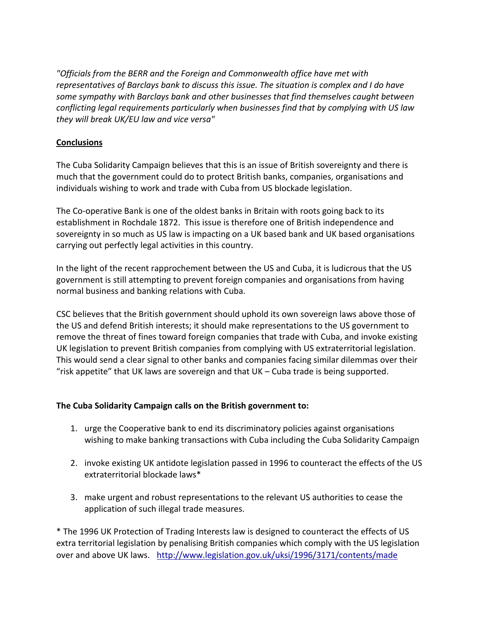*"Officials from the BERR and the Foreign and Commonwealth office have met with representatives of Barclays bank to discuss this issue. The situation is complex and I do have some sympathy with Barclays bank and other businesses that find themselves caught between conflicting legal requirements particularly when businesses find that by complying with US law they will break UK/EU law and vice versa"*

# **Conclusions**

The Cuba Solidarity Campaign believes that this is an issue of British sovereignty and there is much that the government could do to protect British banks, companies, organisations and individuals wishing to work and trade with Cuba from US blockade legislation.

The Co-operative Bank is one of the oldest banks in Britain with roots going back to its establishment in Rochdale 1872. This issue is therefore one of British independence and sovereignty in so much as US law is impacting on a UK based bank and UK based organisations carrying out perfectly legal activities in this country.

In the light of the recent rapprochement between the US and Cuba, it is ludicrous that the US government is still attempting to prevent foreign companies and organisations from having normal business and banking relations with Cuba.

CSC believes that the British government should uphold its own sovereign laws above those of the US and defend British interests; it should make representations to the US government to remove the threat of fines toward foreign companies that trade with Cuba, and invoke existing UK legislation to prevent British companies from complying with US extraterritorial legislation. This would send a clear signal to other banks and companies facing similar dilemmas over their "risk appetite" that UK laws are sovereign and that UK – Cuba trade is being supported.

## **The Cuba Solidarity Campaign calls on the British government to:**

- 1. urge the Cooperative bank to end its discriminatory policies against organisations wishing to make banking transactions with Cuba including the Cuba Solidarity Campaign
- 2. invoke existing UK antidote legislation passed in 1996 to counteract the effects of the US extraterritorial blockade laws\*
- 3. make urgent and robust representations to the relevant US authorities to cease the application of such illegal trade measures.

\* The 1996 UK Protection of Trading Interests law is designed to counteract the effects of US extra territorial legislation by penalising British companies which comply with the US legislation over and above UK laws. <http://www.legislation.gov.uk/uksi/1996/3171/contents/made>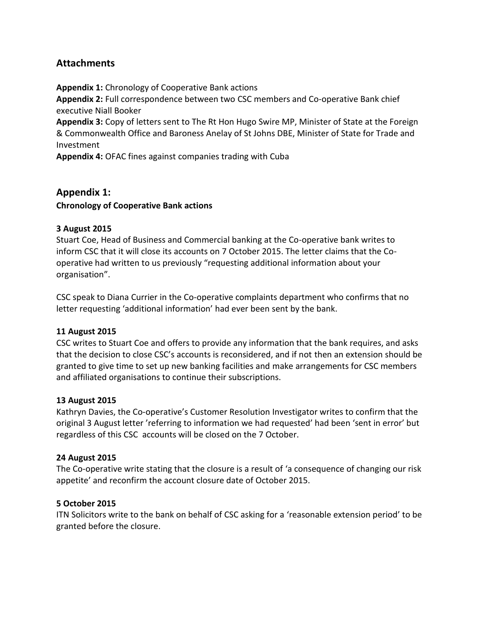# **Attachments**

**Appendix 1:** Chronology of Cooperative Bank actions

**Appendix 2:** Full correspondence between two CSC members and Co-operative Bank chief executive Niall Booker

**Appendix 3:** Copy of letters sent to The Rt Hon Hugo Swire MP, Minister of State at the Foreign & Commonwealth Office and Baroness Anelay of St Johns DBE, Minister of State for Trade and Investment

**Appendix 4:** OFAC fines against companies trading with Cuba

# **Appendix 1: Chronology of Cooperative Bank actions**

### **3 August 2015**

Stuart Coe, Head of Business and Commercial banking at the Co-operative bank writes to inform CSC that it will close its accounts on 7 October 2015. The letter claims that the Cooperative had written to us previously "requesting additional information about your organisation".

CSC speak to Diana Currier in the Co-operative complaints department who confirms that no letter requesting 'additional information' had ever been sent by the bank.

#### **11 August 2015**

CSC writes to Stuart Coe and offers to provide any information that the bank requires, and asks that the decision to close CSC's accounts is reconsidered, and if not then an extension should be granted to give time to set up new banking facilities and make arrangements for CSC members and affiliated organisations to continue their subscriptions.

#### **13 August 2015**

Kathryn Davies, the Co-operative's Customer Resolution Investigator writes to confirm that the original 3 August letter 'referring to information we had requested' had been 'sent in error' but regardless of this CSC accounts will be closed on the 7 October.

#### **24 August 2015**

The Co-operative write stating that the closure is a result of 'a consequence of changing our risk appetite' and reconfirm the account closure date of October 2015.

#### **5 October 2015**

ITN Solicitors write to the bank on behalf of CSC asking for a 'reasonable extension period' to be granted before the closure.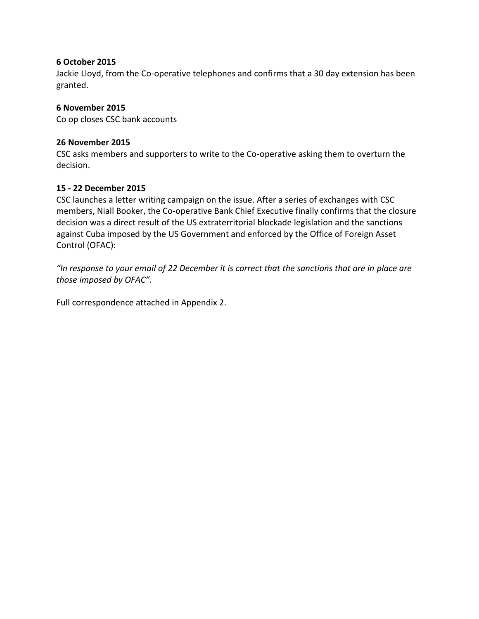#### **6 October 2015**

Jackie Lloyd, from the Co-operative telephones and confirms that a 30 day extension has been granted.

#### **6 November 2015**

Co op closes CSC bank accounts

#### **26 November 2015**

CSC asks members and supporters to write to the Co-operative asking them to overturn the decision.

#### **15 - 22 December 2015**

CSC launches a letter writing campaign on the issue. After a series of exchanges with CSC members, Niall Booker, the Co-operative Bank Chief Executive finally confirms that the closure decision was a direct result of the US extraterritorial blockade legislation and the sanctions against Cuba imposed by the US Government and enforced by the Office of Foreign Asset Control (OFAC):

"In response to your email of 22 December it is correct that the sanctions that are in place are *those imposed by OFAC".*

Full correspondence attached in Appendix 2.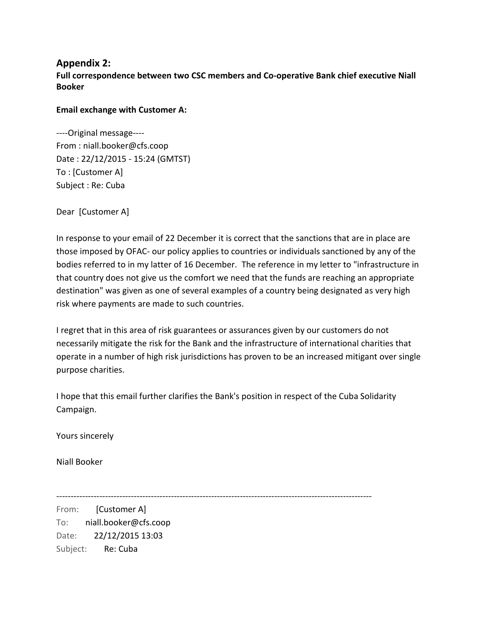# **Appendix 2: Full correspondence between two CSC members and Co-operative Bank chief executive Niall Booker**

#### **Email exchange with Customer A:**

----Original message---- From : niall.booker@cfs.coop Date : 22/12/2015 - 15:24 (GMTST) To : [Customer A] Subject : Re: Cuba

Dear [Customer A]

In response to your email of 22 December it is correct that the sanctions that are in place are those imposed by OFAC- our policy applies to countries or individuals sanctioned by any of the bodies referred to in my latter of 16 December. The reference in my letter to "infrastructure in that country does not give us the comfort we need that the funds are reaching an appropriate destination" was given as one of several examples of a country being designated as very high risk where payments are made to such countries.

I regret that in this area of risk guarantees or assurances given by our customers do not necessarily mitigate the risk for the Bank and the infrastructure of international charities that operate in a number of high risk jurisdictions has proven to be an increased mitigant over single purpose charities.

I hope that this email further clarifies the Bank's position in respect of the Cuba Solidarity Campaign.

Yours sincerely

Niall Booker

--------------------------------------------------------------------------------------------------------------

From: [Customer A] To: niall.booker@cfs.coop Date: 22/12/2015 13:03 Subject: Re: Cuba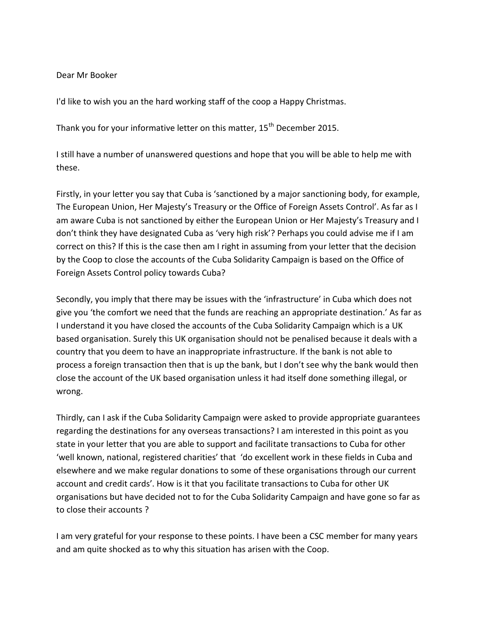Dear Mr Booker

I'd like to wish you an the hard working staff of the coop a Happy Christmas.

Thank you for your informative letter on this matter, 15<sup>th</sup> December 2015.

I still have a number of unanswered questions and hope that you will be able to help me with these.

Firstly, in your letter you say that Cuba is 'sanctioned by a major sanctioning body, for example, The European Union, Her Majesty's Treasury or the Office of Foreign Assets Control'. As far as I am aware Cuba is not sanctioned by either the European Union or Her Majesty's Treasury and I don't think they have designated Cuba as 'very high risk'? Perhaps you could advise me if I am correct on this? If this is the case then am I right in assuming from your letter that the decision by the Coop to close the accounts of the Cuba Solidarity Campaign is based on the Office of Foreign Assets Control policy towards Cuba?

Secondly, you imply that there may be issues with the 'infrastructure' in Cuba which does not give you 'the comfort we need that the funds are reaching an appropriate destination.' As far as I understand it you have closed the accounts of the Cuba Solidarity Campaign which is a UK based organisation. Surely this UK organisation should not be penalised because it deals with a country that you deem to have an inappropriate infrastructure. If the bank is not able to process a foreign transaction then that is up the bank, but I don't see why the bank would then close the account of the UK based organisation unless it had itself done something illegal, or wrong.

Thirdly, can I ask if the Cuba Solidarity Campaign were asked to provide appropriate guarantees regarding the destinations for any overseas transactions? I am interested in this point as you state in your letter that you are able to support and facilitate transactions to Cuba for other 'well known, national, registered charities' that 'do excellent work in these fields in Cuba and elsewhere and we make regular donations to some of these organisations through our current account and credit cards'. How is it that you facilitate transactions to Cuba for other UK organisations but have decided not to for the Cuba Solidarity Campaign and have gone so far as to close their accounts ?

I am very grateful for your response to these points. I have been a CSC member for many years and am quite shocked as to why this situation has arisen with the Coop.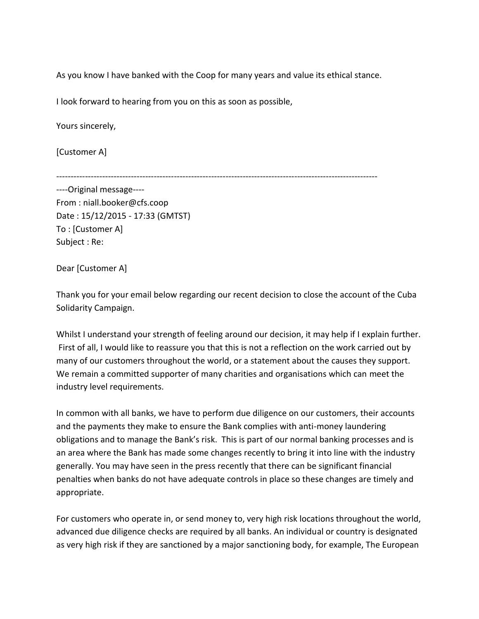As you know I have banked with the Coop for many years and value its ethical stance.

I look forward to hearing from you on this as soon as possible,

Yours sincerely,

[Customer A]

----------------------------------------------------------------------------------------------------------------

----Original message---- From : niall.booker@cfs.coop Date : 15/12/2015 - 17:33 (GMTST) To : [Customer A] Subject : Re:

Dear [Customer A]

Thank you for your email below regarding our recent decision to close the account of the Cuba Solidarity Campaign.

Whilst I understand your strength of feeling around our decision, it may help if I explain further. First of all, I would like to reassure you that this is not a reflection on the work carried out by many of our customers throughout the world, or a statement about the causes they support. We remain a committed supporter of many charities and organisations which can meet the industry level requirements.

In common with all banks, we have to perform due diligence on our customers, their accounts and the payments they make to ensure the Bank complies with anti-money laundering obligations and to manage the Bank's risk. This is part of our normal banking processes and is an area where the Bank has made some changes recently to bring it into line with the industry generally. You may have seen in the press recently that there can be significant financial penalties when banks do not have adequate controls in place so these changes are timely and appropriate.

For customers who operate in, or send money to, very high risk locations throughout the world, advanced due diligence checks are required by all banks. An individual or country is designated as very high risk if they are sanctioned by a major sanctioning body, for example, The European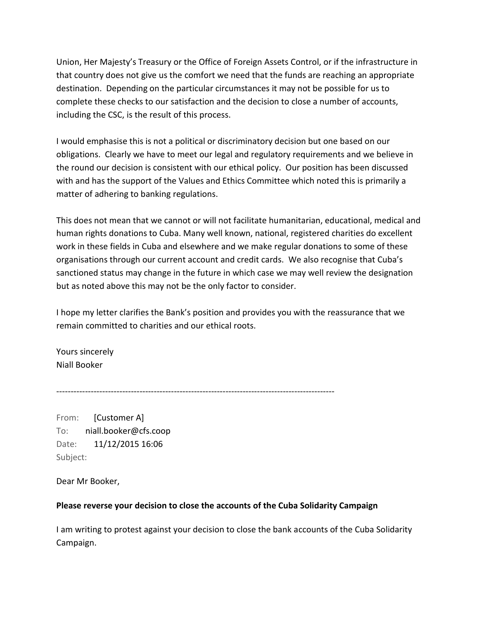Union, Her Majesty's Treasury or the Office of Foreign Assets Control, or if the infrastructure in that country does not give us the comfort we need that the funds are reaching an appropriate destination. Depending on the particular circumstances it may not be possible for us to complete these checks to our satisfaction and the decision to close a number of accounts, including the CSC, is the result of this process.

I would emphasise this is not a political or discriminatory decision but one based on our obligations. Clearly we have to meet our legal and regulatory requirements and we believe in the round our decision is consistent with our ethical policy. Our position has been discussed with and has the support of the Values and Ethics Committee which noted this is primarily a matter of adhering to banking regulations.

This does not mean that we cannot or will not facilitate humanitarian, educational, medical and human rights donations to Cuba. Many well known, national, registered charities do excellent work in these fields in Cuba and elsewhere and we make regular donations to some of these organisations through our current account and credit cards. We also recognise that Cuba's sanctioned status may change in the future in which case we may well review the designation but as noted above this may not be the only factor to consider.

I hope my letter clarifies the Bank's position and provides you with the reassurance that we remain committed to charities and our ethical roots.

Yours sincerely Niall Booker

-------------------------------------------------------------------------------------------------

From: [Customer A] To: niall.booker@cfs.coop Date: 11/12/2015 16:06 Subject:

Dear Mr Booker,

## **Please reverse your decision to close the accounts of the Cuba Solidarity Campaign**

I am writing to protest against your decision to close the bank accounts of the Cuba Solidarity Campaign.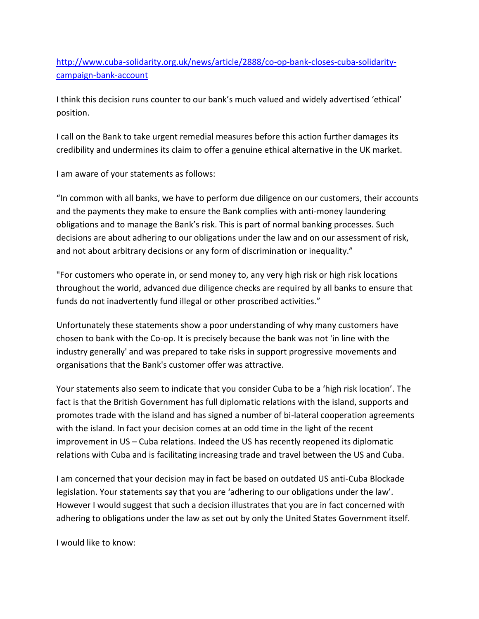[http://www.cuba-solidarity.org.uk/news/article/2888/co-op-bank-closes-cuba-solidarity](http://www.cuba-solidarity.org.uk/news/article/2888/co-op-bank-closes-cuba-solidarity-campaign-bank-account)[campaign-bank-account](http://www.cuba-solidarity.org.uk/news/article/2888/co-op-bank-closes-cuba-solidarity-campaign-bank-account)

I think this decision runs counter to our bank's much valued and widely advertised 'ethical' position.

I call on the Bank to take urgent remedial measures before this action further damages its credibility and undermines its claim to offer a genuine ethical alternative in the UK market.

I am aware of your statements as follows:

"In common with all banks, we have to perform due diligence on our customers, their accounts and the payments they make to ensure the Bank complies with anti-money laundering obligations and to manage the Bank's risk. This is part of normal banking processes. Such decisions are about adhering to our obligations under the law and on our assessment of risk, and not about arbitrary decisions or any form of discrimination or inequality."

"For customers who operate in, or send money to, any very high risk or high risk locations throughout the world, advanced due diligence checks are required by all banks to ensure that funds do not inadvertently fund illegal or other proscribed activities."

Unfortunately these statements show a poor understanding of why many customers have chosen to bank with the Co-op. It is precisely because the bank was not 'in line with the industry generally' and was prepared to take risks in support progressive movements and organisations that the Bank's customer offer was attractive.

Your statements also seem to indicate that you consider Cuba to be a 'high risk location'. The fact is that the British Government has full diplomatic relations with the island, supports and promotes trade with the island and has signed a number of bi-lateral cooperation agreements with the island. In fact your decision comes at an odd time in the light of the recent improvement in US – Cuba relations. Indeed the US has recently reopened its diplomatic relations with Cuba and is facilitating increasing trade and travel between the US and Cuba.

I am concerned that your decision may in fact be based on outdated US anti-Cuba Blockade legislation. Your statements say that you are 'adhering to our obligations under the law'. However I would suggest that such a decision illustrates that you are in fact concerned with adhering to obligations under the law as set out by only the United States Government itself.

I would like to know: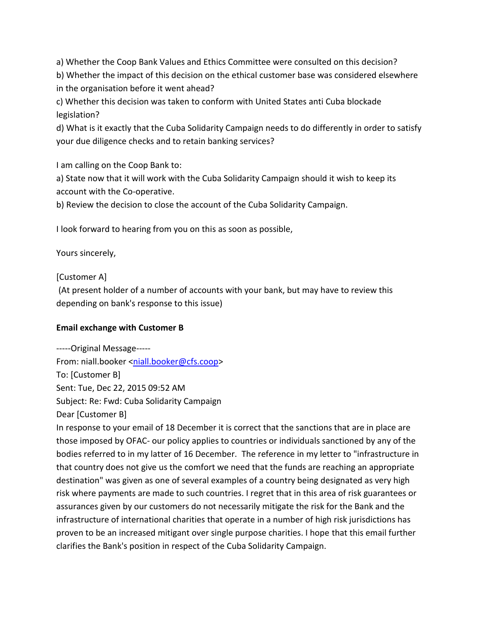a) Whether the Coop Bank Values and Ethics Committee were consulted on this decision?

b) Whether the impact of this decision on the ethical customer base was considered elsewhere in the organisation before it went ahead?

c) Whether this decision was taken to conform with United States anti Cuba blockade legislation?

d) What is it exactly that the Cuba Solidarity Campaign needs to do differently in order to satisfy your due diligence checks and to retain banking services?

I am calling on the Coop Bank to:

a) State now that it will work with the Cuba Solidarity Campaign should it wish to keep its account with the Co-operative.

b) Review the decision to close the account of the Cuba Solidarity Campaign.

I look forward to hearing from you on this as soon as possible,

Yours sincerely,

[Customer A]

(At present holder of a number of accounts with your bank, but may have to review this depending on bank's response to this issue)

## **Email exchange with Customer B**

-----Original Message----- From: niall.booker [<niall.booker@cfs.coop>](mailto:niall.booker@cfs.coop) To: [Customer B] Sent: Tue, Dec 22, 2015 09:52 AM Subject: Re: Fwd: Cuba Solidarity Campaign Dear [Customer B]

In response to your email of 18 December it is correct that the sanctions that are in place are those imposed by OFAC- our policy applies to countries or individuals sanctioned by any of the bodies referred to in my latter of 16 December. The reference in my letter to "infrastructure in that country does not give us the comfort we need that the funds are reaching an appropriate destination" was given as one of several examples of a country being designated as very high risk where payments are made to such countries. I regret that in this area of risk guarantees or assurances given by our customers do not necessarily mitigate the risk for the Bank and the infrastructure of international charities that operate in a number of high risk jurisdictions has proven to be an increased mitigant over single purpose charities. I hope that this email further clarifies the Bank's position in respect of the Cuba Solidarity Campaign.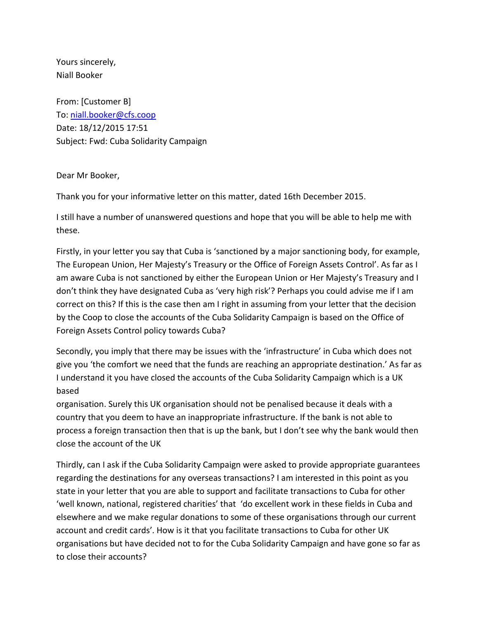Yours sincerely, Niall Booker

From: [Customer B] To: [niall.booker@cfs.coop](mailto:niall.booker@cfs.coop) Date: 18/12/2015 17:51 Subject: Fwd: Cuba Solidarity Campaign

Dear Mr Booker,

Thank you for your informative letter on this matter, dated 16th December 2015.

I still have a number of unanswered questions and hope that you will be able to help me with these.

Firstly, in your letter you say that Cuba is 'sanctioned by a major sanctioning body, for example, The European Union, Her Majesty's Treasury or the Office of Foreign Assets Control'. As far as I am aware Cuba is not sanctioned by either the European Union or Her Majesty's Treasury and I don't think they have designated Cuba as 'very high risk'? Perhaps you could advise me if I am correct on this? If this is the case then am I right in assuming from your letter that the decision by the Coop to close the accounts of the Cuba Solidarity Campaign is based on the Office of Foreign Assets Control policy towards Cuba?

Secondly, you imply that there may be issues with the 'infrastructure' in Cuba which does not give you 'the comfort we need that the funds are reaching an appropriate destination.' As far as I understand it you have closed the accounts of the Cuba Solidarity Campaign which is a UK based

organisation. Surely this UK organisation should not be penalised because it deals with a country that you deem to have an inappropriate infrastructure. If the bank is not able to process a foreign transaction then that is up the bank, but I don't see why the bank would then close the account of the UK

Thirdly, can I ask if the Cuba Solidarity Campaign were asked to provide appropriate guarantees regarding the destinations for any overseas transactions? I am interested in this point as you state in your letter that you are able to support and facilitate transactions to Cuba for other 'well known, national, registered charities' that 'do excellent work in these fields in Cuba and elsewhere and we make regular donations to some of these organisations through our current account and credit cards'. How is it that you facilitate transactions to Cuba for other UK organisations but have decided not to for the Cuba Solidarity Campaign and have gone so far as to close their accounts?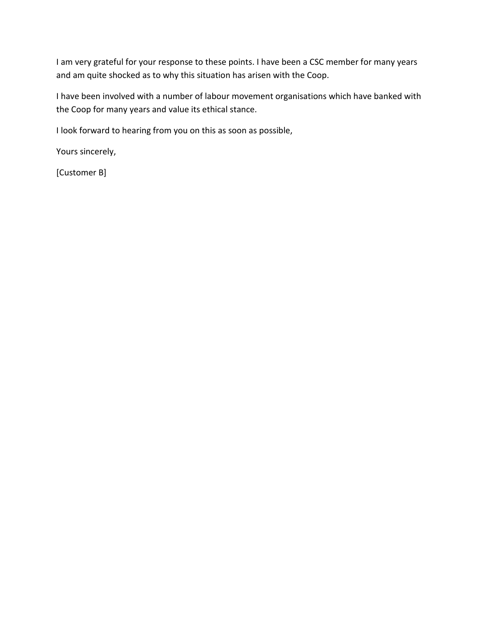I am very grateful for your response to these points. I have been a CSC member for many years and am quite shocked as to why this situation has arisen with the Coop.

I have been involved with a number of labour movement organisations which have banked with the Coop for many years and value its ethical stance.

I look forward to hearing from you on this as soon as possible,

Yours sincerely,

[Customer B]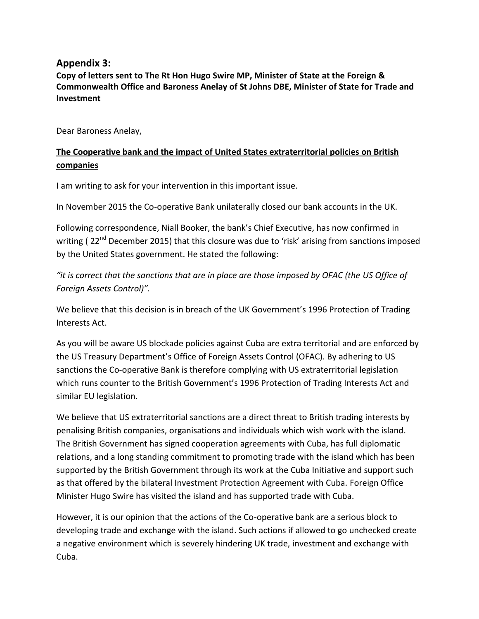# **Appendix 3:**

**Copy of letters sent to The Rt Hon Hugo Swire MP, Minister of State at the Foreign & Commonwealth Office and Baroness Anelay of St Johns DBE, Minister of State for Trade and Investment**

Dear Baroness Anelay,

# **The Cooperative bank and the impact of United States extraterritorial policies on British companies**

I am writing to ask for your intervention in this important issue.

In November 2015 the Co-operative Bank unilaterally closed our bank accounts in the UK.

Following correspondence, Niall Booker, the bank's Chief Executive, has now confirmed in writing ( $22<sup>nd</sup>$  December 2015) that this closure was due to 'risk' arising from sanctions imposed by the United States government. He stated the following:

*"it is correct that the sanctions that are in place are those imposed by OFAC (the US Office of Foreign Assets Control)".*

We believe that this decision is in breach of the UK Government's 1996 Protection of Trading Interests Act.

As you will be aware US blockade policies against Cuba are extra territorial and are enforced by the US Treasury Department's Office of Foreign Assets Control (OFAC). By adhering to US sanctions the Co-operative Bank is therefore complying with US extraterritorial legislation which runs counter to the British Government's 1996 Protection of Trading Interests Act and similar EU legislation.

We believe that US extraterritorial sanctions are a direct threat to British trading interests by penalising British companies, organisations and individuals which wish work with the island. The British Government has signed cooperation agreements with Cuba, has full diplomatic relations, and a long standing commitment to promoting trade with the island which has been supported by the British Government through its work at the Cuba Initiative and support such as that offered by the bilateral Investment Protection Agreement with Cuba. Foreign Office Minister Hugo Swire has visited the island and has supported trade with Cuba.

However, it is our opinion that the actions of the Co-operative bank are a serious block to developing trade and exchange with the island. Such actions if allowed to go unchecked create a negative environment which is severely hindering UK trade, investment and exchange with Cuba.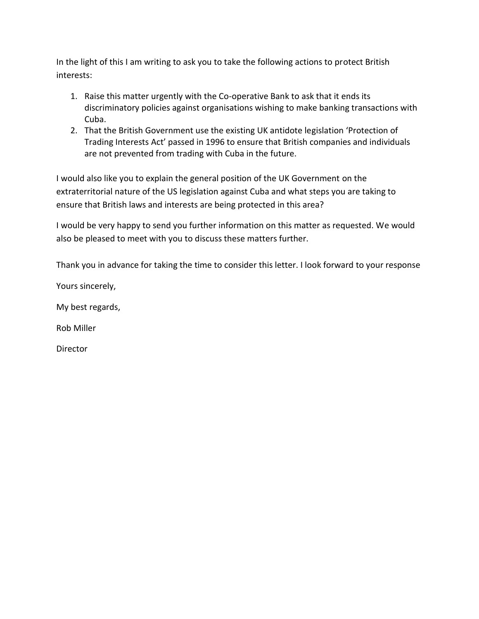In the light of this I am writing to ask you to take the following actions to protect British interests:

- 1. Raise this matter urgently with the Co-operative Bank to ask that it ends its discriminatory policies against organisations wishing to make banking transactions with Cuba.
- 2. That the British Government use the existing UK antidote legislation 'Protection of Trading Interests Act' passed in 1996 to ensure that British companies and individuals are not prevented from trading with Cuba in the future.

I would also like you to explain the general position of the UK Government on the extraterritorial nature of the US legislation against Cuba and what steps you are taking to ensure that British laws and interests are being protected in this area?

I would be very happy to send you further information on this matter as requested. We would also be pleased to meet with you to discuss these matters further.

Thank you in advance for taking the time to consider this letter. I look forward to your response

Yours sincerely,

My best regards,

Rob Miller

Director